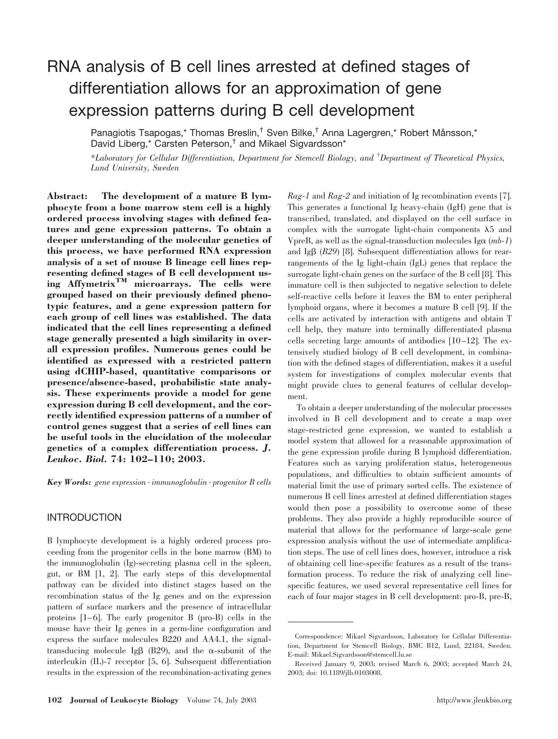# RNA analysis of B cell lines arrested at defined stages of differentiation allows for an approximation of gene expression patterns during B cell development

Panagiotis Tsapogas,\* Thomas Breslin,† Sven Bilke,† Anna Lagergren,\* Robert Månsson,\* David Liberg,\* Carsten Peterson,<sup>†</sup> and Mikael Sigvardsson\*

\**Laboratory for Cellular Differentiation, Department for Stemcell Biology, and* † *Department of Theoretical Physics, Lund University, Sweden*

**Abstract: The development of a mature B lymphocyte from a bone marrow stem cell is a highly ordered process involving stages with defined features and gene expression patterns. To obtain a deeper understanding of the molecular genetics of this process, we have performed RNA expression analysis of a set of mouse B lineage cell lines representing defined stages of B cell development using AffymetrixTM microarrays. The cells were grouped based on their previously defined phenotypic features, and a gene expression pattern for each group of cell lines was established. The data indicated that the cell lines representing a defined stage generally presented a high similarity in overall expression profiles. Numerous genes could be identified as expressed with a restricted pattern using dCHIP-based, quantitative comparisons or presence/absence-based, probabilistic state analysis. These experiments provide a model for gene expression during B cell development, and the correctly identified expression patterns of a number of control genes suggest that a series of cell lines can be useful tools in the elucidation of the molecular genetics of a complex differentiation process.** *J. Leukoc. Biol.* **74: 102–110; 2003.**

*Key Words: gene expression immunoglobulin progenitor B cells*

## INTRODUCTION

B lymphocyte development is a highly ordered process proceeding from the progenitor cells in the bone marrow (BM) to the immunoglobulin (Ig)-secreting plasma cell in the spleen, gut, or BM [1, 2]. The early steps of this developmental pathway can be divided into distinct stages based on the recombination status of the Ig genes and on the expression pattern of surface markers and the presence of intracellular proteins [1–6]. The early progenitor B (pro-B) cells in the mouse have their Ig genes in a germ-line configuration and express the surface molecules B220 and AA4.1, the signaltransducing molecule Ig $\beta$  (B29), and the  $\alpha$ -subunit of the interleukin (IL)-7 receptor [5, 6]. Subsequent differentiation results in the expression of the recombination-activating genes *Rag-1* and *Rag-2* and initiation of Ig recombination events [7]. This generates a functional Ig heavy-chain (IgH) gene that is transcribed, translated, and displayed on the cell surface in complex with the surrogate light-chain components  $\lambda$ 5 and VpreB, as well as the signal-transduction molecules  $Ig\alpha$  (mb-1) and  $I_{\mathcal{B}}(B29)$  [8]. Subsequent differentiation allows for rearrangements of the Ig light-chain (IgL) genes that replace the surrogate light-chain genes on the surface of the B cell [8]. This immature cell is then subjected to negative selection to delete self-reactive cells before it leaves the BM to enter peripheral lymphoid organs, where it becomes a mature B cell [9]. If the cells are activated by interaction with antigens and obtain T cell help, they mature into terminally differentiated plasma cells secreting large amounts of antibodies [10–12]. The extensively studied biology of B cell development, in combination with the defined stages of differentiation, makes it a useful system for investigations of complex molecular events that might provide clues to general features of cellular development.

To obtain a deeper understanding of the molecular processes involved in B cell development and to create a map over stage-restricted gene expression, we wanted to establish a model system that allowed for a reasonable approximation of the gene expression profile during B lymphoid differentiation. Features such as varying proliferation status, heterogeneous populations, and difficulties to obtain sufficient amounts of material limit the use of primary sorted cells. The existence of numerous B cell lines arrested at defined differentiation stages would then pose a possibility to overcome some of these problems. They also provide a highly reproducible source of material that allows for the performance of large-scale gene expression analysis without the use of intermediate amplification steps. The use of cell lines does, however, introduce a risk of obtaining cell line-specific features as a result of the transformation process. To reduce the risk of analyzing cell linespecific features, we used several representative cell lines for each of four major stages in B cell development: pro-B, pre-B,

Correspondence: Mikael Sigvardsson, Laboratory for Cellular Differentiation, Department for Stemcell Biology, BMC B12, Lund, 22184, Sweden. E-mail: Mikael.Sigvardsson@stemcell.lu.se

Received January 9, 2003; revised March 6, 2003; accepted March 24, 2003; doi: 10.1189/jlb.0103008.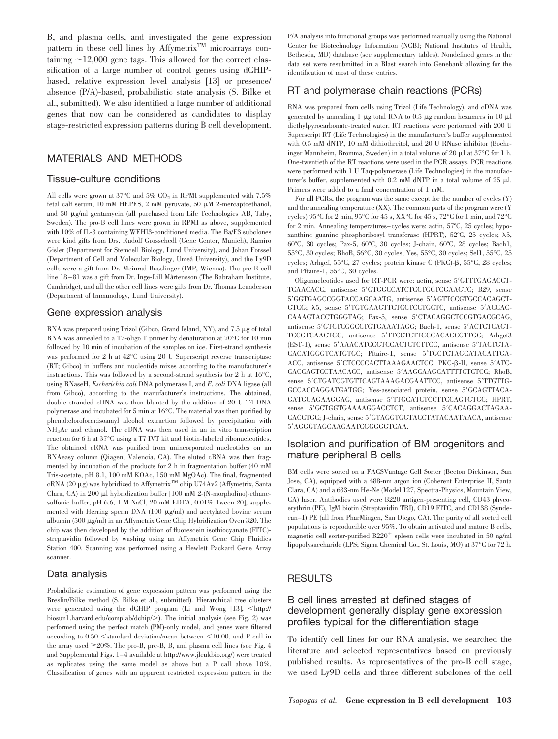B, and plasma cells, and investigated the gene expression pattern in these cell lines by  $\text{Affymetrix}^{\text{TM}}$  microarrays containing  $\sim$ 12,000 gene tags. This allowed for the correct classification of a large number of control genes using dCHIPbased, relative expression level analysis [13] or presence/ absence (P/A)-based, probabilistic state analysis (S. Bilke et al., submitted). We also identified a large number of additional genes that now can be considered as candidates to display stage-restricted expression patterns during B cell development.

## MATERIALS AND METHODS

#### Tissue-culture conditions

All cells were grown at  $37^{\circ}$ C and  $5\%$  CO<sub>2</sub> in RPMI supplemented with  $7.5\%$ fetal calf serum, 10 mM HEPES, 2 mM pyruvate, 50  $\mu$ M 2-mercaptoethanol, and 50  $\mu$ g/ml gentamycin (all purchased from Life Technologies AB, Täby, Sweden). The pro-B cell lines were grown in RPMI as above, supplemented with 10% of IL-3 containing WEHI3-conditioned media. The Ba/F3 subclones were kind gifts from Drs. Rudolf Grosschedl (Gene Center, Munich), Ramiro Gisler (Department for Stemcell Biology, Lund University), and Johan Forssel (Department of Cell and Molecular Biology, Umeå University), and the Ly9D cells were a gift from Dr. Meinrad Busslinger (IMP, Wienna). The pre-B cell line 18–81 was a gift from Dr. Inge-Lill Mårtensson (The Babraham Institute, Cambridge), and all the other cell lines were gifts from Dr. Thomas Leanderson (Department of Immunology, Lund University).

#### Gene expression analysis

RNA was prepared using Trizol (Gibco, Grand Island, NY), and 7.5  $\mu$ g of total RNA was annealed to a T7-oligo T primer by denaturation at 70°C for 10 min followed by 10 min of incubation of the samples on ice. First-strand synthesis was performed for 2 h at 42°C using 20 U Superscript reverse transcriptase (RT; Gibco) in buffers and nucleotide mixes according to the manufacturer's instructions. This was followed by a second-strand synthesis for 2 h at 16°C, using RNaseH, *Escherichia coli* DNA polymerase I, and *E. coli* DNA ligase (all from Gibco), according to the manufacturer's instructions. The obtained, double-stranded cDNA was then blunted by the addition of 20 U T4 DNA polymerase and incubated for 5 min at 16°C. The material was then purified by phenol:cloroform:isoamyl alcohol extraction followed by precipitation with NH4Ac and ethanol. The cDNA was then used in an in vitro transcription reaction for 6 h at 37°C using a T7 IVT kit and biotin-labeled ribonucleotides. The obtained cRNA was purified from unincorporated nucleotides on an RNAeasy column (Qiagen, Valencia, CA). The eluted cRNA was then fragmented by incubation of the products for 2 h in fragmentation buffer (40 mM Tris-acetate, pH 8.1, 100 mM KOAc, 150 mM MgOAc). The final, fragmented cRNA (20  $\mu$ g) was hybridized to Affymetrix<sup>TM</sup> chip U74Av2 (Affymetrix, Santa Clara, CA) in 200  $\mu$ l hybridization buffer [100 mM 2-(N-morpholino)-ethanesulfonic buffer, pH 6.6, 1 M NaCl, 20 mM EDTA, 0.01% Tween 20], supplemented with Herring sperm DNA  $(100 \mu g/ml)$  and acetylated bovine serum albumin (500  $\mu$ g/ml) in an Affymetrix Gene Chip Hybridization Oven 320. The chip was then developed by the addition of fluorescein isothiocyanate (FITC) streptavidin followed by washing using an Affymetrix Gene Chip Fluidics Station 400. Scanning was performed using a Hewlett Packard Gene Array scanner.

## Data analysis

Probabilistic estimation of gene expression pattern was performed using the Breslin/Bilke method (S. Bilke et al., submitted). Hierarchical tree clusters were generated using the dCHIP program (Li and Wong [13], <http:// biosun1.harvard.edu/complab/dchip/). The initial analysis (see Fig. 2) was performed using the perfect match (PM)-only model, and genes were filtered according to  $0.50 <$ standard deviation/mean between  $<$ 10.00, and P call in the array used  $\geq$ 20%. The pro-B, pre-B, B, and plasma cell lines (see Fig. 4 and Supplemental Figs. 1–4 available at http://www.jleukbio.org/) were treated as replicates using the same model as above but a P call above 10%. Classification of genes with an apparent restricted expression pattern in the

P/A analysis into functional groups was performed manually using the National Center for Biotechnology Information (NCBI; National Institutes of Health, Bethesda, MD) database (see supplementary tables). Nondefined genes in the data set were resubmitted in a Blast search into Genebank allowing for the identification of most of these entries.

## RT and polymerase chain reactions (PCRs)

RNA was prepared from cells using Trizol (Life Technology), and cDNA was generated by annealing 1  $\mu$ g total RNA to 0.5  $\mu$ g random hexamers in 10  $\mu$ l diethylpyrocarbonate-treated water. RT reactions were performed with 200 U Superscript RT (Life Technologies) in the manufacturer's buffer supplemented with 0.5 mM dNTP, 10 mM dithiothreitol, and 20 U RNase inhibitor (Boehringer Mannheim, Bromma, Sweden) in a total volume of 20  $\mu$ l at 37°C for 1 h. One-twentieth of the RT reactions were used in the PCR assays. PCR reactions were performed with 1 U Taq-polymerase (Life Technologies) in the manufacturer's buffer, supplemented with 0.2 mM dNTP in a total volume of 25  $\mu$ l. Primers were added to a final concentration of 1 mM.

For all PCRs, the program was the same except for the number of cycles (Y) and the annealing temperature (XX). The common parts of the program were (Y cycles) 95°C for 2 min, 95°C for 45 s, XX°C for 45 s, 72°C for 1 min, and 72°C for 2 min. Annealing temperatures–cycles were: actin, 57ºC, 25 cycles; hypoxanthine guanine phosphoribosyl transferase (HPRT), 52°C, 25 cycles;  $\lambda$ 5, 60ºC, 30 cycles; Pax-5, 60ºC, 30 cycles; J-chain, 60ºC, 28 cycles; Bach1, 55°C, 30 cycles; RhoB, 56°C, 30 cycles; Yes, 55°C, 30 cycles; Sel1, 55°C, 25 cycles; Arhgef, 55 $\degree$ C, 27 cycles; protein kinase C (PKC)- $\beta$ , 55 $\degree$ C, 28 cycles; and Pftaire-1, 55°C, 30 cycles.

Oligonucleotides used for RT-PCR were: actin, sense 5'GTTTGAGACCT-TCAACACC, antisense 5'GTGGCCATCTCCTGCTCGAAGTC; B29, sense 5GGTGAGCCGGTACCAGCAATG, antisense 5AGTTCCGTGCCACAGCT-GTCG;  $\lambda$ 5, sense 5'TGTGAAGTTCTCCTCCTGCTC, antisense 5'ACCAC-CAAAGTACCTGGGTAG; Pax-5, sense 5'CTACAGGCTCCGTGACGCAG, antisense 5'GTCTCGGCCTGTGAAATAGG; Bach-1, sense 5'ACTCTCAGT-TCCGTCAACTGC, antisense 5TTCCTCTTGCGACAGCGTTGC; Arhgef3 (EST-1), sense 5'AAACATCCGTCCACTCTCTTCC, antisense 5'TACTGTA-CACATGGGTCATGTGC; Pftaire-1, sense 5TGCTCTAGCATACATTGA-ACC, antisense 5'CTCCCCACTTAAAGAACTCC; PKC-β-II, sense 5'ATC-CACCAGTCCTAACACC, antisense 5AAGCAAGCATTTTCTCTCC; RhoB, sense 5'CTGATCGTGTTCAGTAAAGACGAATTCC, antisense 5'TTGTTG-GCCACCAGGATGATGG; Yes-associated protein, sense 5'GCAGTTACA-GATGGAGAAGGAG, antisense 5TTGCATCTCCTTCCAGTGTGC; HPRT, sense 5'GCTGGTGAAAAGGACCTCT, antisense 5'CACAGGACTAGAA-CACCTGC; J-chain, sense 5'GTAGGTGGTACCTATACAATAACA, antisense 5AGGGTAGCAAGAATCGGGGGTCAA.

#### Isolation and purification of BM progenitors and mature peripheral B cells

BM cells were sorted on a FACSVantage Cell Sorter (Becton Dickinson, San Jose, CA), equipped with a 488-nm argon ion (Coherent Enterprise II, Santa Clara, CA) and a 633-nm He-Ne (Model 127, Spectra-Physics, Mountain View, CA) laser. Antibodies used were B220 antigen-presenting cell, CD43 phycoerythrin (PE), IgM biotin (Streptavidin TRI), CD19 FITC, and CD138 (Syndecan–1) PE (all from PharMingen, San Diego, CA). The purity of all sorted cell populations is reproducible over 95%. To obtain activated and mature B cells, magnetic cell sorter-purified  $B220<sup>+</sup>$  spleen cells were incubated in 50 ng/ml lipopolysaccharide (LPS; Sigma Chemical Co., St. Louis, MO) at 37°C for 72 h.

# RESULTS

## B cell lines arrested at defined stages of development generally display gene expression profiles typical for the differentiation stage

To identify cell lines for our RNA analysis, we searched the literature and selected representatives based on previously published results. As representatives of the pro-B cell stage, we used Ly9D cells and three different subclones of the cell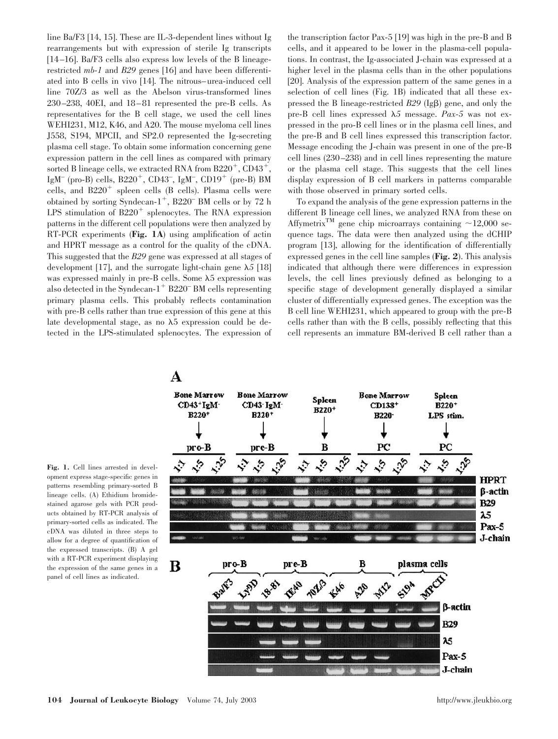line Ba/F3 [14, 15]. These are IL-3-dependent lines without Ig rearrangements but with expression of sterile Ig transcripts [14–16]. Ba/F3 cells also express low levels of the B lineagerestricted *mb-1* and *B29* genes [16] and have been differentiated into B cells in vivo [14]. The nitrous–urea-induced cell line 70Z/3 as well as the Abelson virus-transformed lines 230–238, 40EI, and 18–81 represented the pre-B cells. As representatives for the B cell stage, we used the cell lines WEHI231, M12, K46, and A20. The mouse myeloma cell lines J558, S194, MPCII, and SP2.0 represented the Ig-secreting plasma cell stage. To obtain some information concerning gene expression pattern in the cell lines as compared with primary sorted B lineage cells, we extracted RNA from  $B220^+$ , CD43<sup>+</sup>, IgM<sup>-</sup> (pro-B) cells, B220<sup>+</sup>, CD43<sup>-</sup>, IgM<sup>-</sup>, CD19<sup>+</sup> (pre-B) BM cells, and  $B220<sup>+</sup>$  spleen cells (B cells). Plasma cells were obtained by sorting Syndecan- $1^+$ , B220<sup>-</sup> BM cells or by 72 h LPS stimulation of  $B220<sup>+</sup>$  splenocytes. The RNA expression patterns in the different cell populations were then analyzed by RT-PCR experiments (**Fig. 1A**) using amplification of actin and HPRT message as a control for the quality of the cDNA. This suggested that the *B29* gene was expressed at all stages of development [17], and the surrogate light-chain gene  $\lambda$ 5 [18] was expressed mainly in pre-B cells. Some  $\lambda$ 5 expression was also detected in the Syndecan- $1^+$  B220<sup>-</sup> BM cells representing primary plasma cells. This probably reflects contamination with pre-B cells rather than true expression of this gene at this late developmental stage, as no  $\lambda$ 5 expression could be detected in the LPS-stimulated splenocytes. The expression of the transcription factor Pax-5 [19] was high in the pre-B and B cells, and it appeared to be lower in the plasma-cell populations. In contrast, the Ig-associated J-chain was expressed at a higher level in the plasma cells than in the other populations [20]. Analysis of the expression pattern of the same genes in a selection of cell lines (Fig. 1B) indicated that all these expressed the B lineage-restricted *B29* (Ig<sub>B</sub>) gene, and only the pre-B cell lines expressed  $\lambda$ 5 message. *Pax-5* was not expressed in the pro-B cell lines or in the plasma cell lines, and the pre-B and B cell lines expressed this transcription factor. Message encoding the J-chain was present in one of the pre-B cell lines (230–238) and in cell lines representing the mature or the plasma cell stage. This suggests that the cell lines display expression of B cell markers in patterns comparable with those observed in primary sorted cells.

To expand the analysis of the gene expression patterns in the different B lineage cell lines, we analyzed RNA from these on Affymetrix<sup>TM</sup> gene chip microarrays containing  $\sim$ 12,000 sequence tags. The data were then analyzed using the dCHIP program [13], allowing for the identification of differentially expressed genes in the cell line samples (**Fig. 2**). This analysis indicated that although there were differences in expression levels, the cell lines previously defined as belonging to a specific stage of development generally displayed a similar cluster of differentially expressed genes. The exception was the B cell line WEHI231, which appeared to group with the pre-B cells rather than with the B cells, possibly reflecting that this cell represents an immature BM-derived B cell rather than a

**Fig. 1.** Cell lines arrested in development express stage-specific genes in patterns resembling primary-sorted B lineage cells. (A) Ethidium bromidestained agarose gels with PCR products obtained by RT-PCR analysis of primary-sorted cells as indicated. The cDNA was diluted in three steps to allow for a degree of quantification of the expressed transcripts. (B) A gel with a RT-PCR experiment displaying the expression of the same genes in a panel of cell lines as indicated.

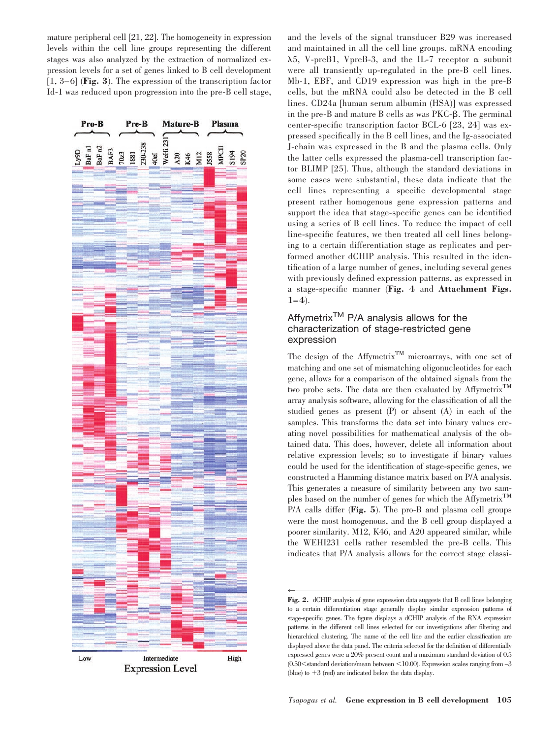mature peripheral cell [21, 22]. The homogeneity in expression levels within the cell line groups representing the different stages was also analyzed by the extraction of normalized expression levels for a set of genes linked to B cell development [1, 3– 6] (**Fig. 3**). The expression of the transcription factor Id-1 was reduced upon progression into the pre-B cell stage,



and the levels of the signal transducer B29 was increased and maintained in all the cell line groups. mRNA encoding  $\lambda$ 5, V-preB1, VpreB-3, and the IL-7 receptor  $\alpha$  subunit were all transiently up-regulated in the pre-B cell lines. Mb-1, EBF, and CD19 expression was high in the pre-B cells, but the mRNA could also be detected in the B cell lines. CD24a [human serum albumin (HSA)] was expressed in the pre-B and mature B cells as was  $PKC- $\beta$ . The germinal$ center-specific transcription factor BCL-6 [23, 24] was expressed specifically in the B cell lines, and the Ig-associated J-chain was expressed in the B and the plasma cells. Only the latter cells expressed the plasma-cell transcription factor BLIMP [25]. Thus, although the standard deviations in some cases were substantial, these data indicate that the cell lines representing a specific developmental stage present rather homogenous gene expression patterns and support the idea that stage-specific genes can be identified using a series of B cell lines. To reduce the impact of cell line-specific features, we then treated all cell lines belonging to a certain differentiation stage as replicates and performed another dCHIP analysis. This resulted in the identification of a large number of genes, including several genes with previously defined expression patterns, as expressed in a stage-specific manner (**Fig. 4** and **Attachment Figs. 1–4**).

## Affymetrix<sup>TM</sup> P/A analysis allows for the characterization of stage-restricted gene expression

The design of the Affymetrix<sup>TM</sup> microarrays, with one set of matching and one set of mismatching oligonucleotides for each gene, allows for a comparison of the obtained signals from the two probe sets. The data are then evaluated by Affymetrix<sup>TM</sup> array analysis software, allowing for the classification of all the studied genes as present (P) or absent (A) in each of the samples. This transforms the data set into binary values creating novel possibilities for mathematical analysis of the obtained data. This does, however, delete all information about relative expression levels; so to investigate if binary values could be used for the identification of stage-specific genes, we constructed a Hamming distance matrix based on P/A analysis. This generates a measure of similarity between any two samples based on the number of genes for which the Affymetrix<sup>TM</sup> P/A calls differ (**Fig. 5**). The pro-B and plasma cell groups were the most homogenous, and the B cell group displayed a poorer similarity. M12, K46, and A20 appeared similar, while the WEHI231 cells rather resembled the pre-B cells. This indicates that P/A analysis allows for the correct stage classi-

 $\leftarrow$ 

**Fig. 2.** dCHIP analysis of gene expression data suggests that B cell lines belonging to a certain differentiation stage generally display similar expression patterns of stage-specific genes. The figure displays a dCHIP analysis of the RNA expression patterns in the different cell lines selected for our investigations after filtering and hierarchical clustering. The name of the cell line and the earlier classification are displayed above the data panel. The criteria selected for the definition of differentially expressed genes were a 20% present count and a maximum standard deviation of 0.5  $(0.50<$ standard deviation/mean between  $\leq 10.00$ ). Expression scales ranging from  $-3$ (blue) to  $+3$  (red) are indicated below the data display.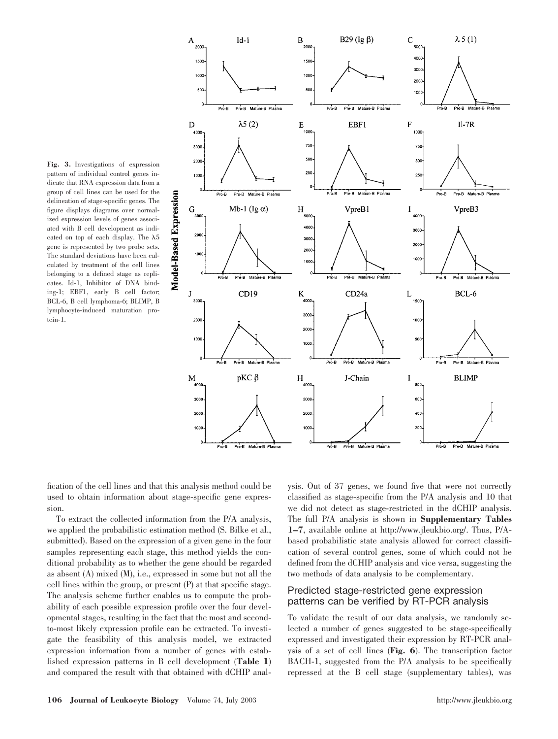



fication of the cell lines and that this analysis method could be used to obtain information about stage-specific gene expression.

To extract the collected information from the P/A analysis, we applied the probabilistic estimation method (S. Bilke et al., submitted). Based on the expression of a given gene in the four samples representing each stage, this method yields the conditional probability as to whether the gene should be regarded as absent (A) mixed (M), i.e., expressed in some but not all the cell lines within the group, or present (P) at that specific stage. The analysis scheme further enables us to compute the probability of each possible expression profile over the four developmental stages, resulting in the fact that the most and secondto-most likely expression profile can be extracted. To investigate the feasibility of this analysis model, we extracted expression information from a number of genes with established expression patterns in B cell development (**Table 1**) and compared the result with that obtained with dCHIP analysis. Out of 37 genes, we found five that were not correctly classified as stage-specific from the P/A analysis and 10 that we did not detect as stage-restricted in the dCHIP analysis. The full P/A analysis is shown in **Supplementary Tables 1–7**, available online at http://www.jleukbio.org/. Thus, P/Abased probabilistic state analysis allowed for correct classification of several control genes, some of which could not be defined from the dCHIP analysis and vice versa, suggesting the two methods of data analysis to be complementary.

## Predicted stage-restricted gene expression patterns can be verified by RT-PCR analysis

To validate the result of our data analysis, we randomly selected a number of genes suggested to be stage-specifically expressed and investigated their expression by RT-PCR analysis of a set of cell lines (**Fig. 6**). The transcription factor BACH-1, suggested from the P/A analysis to be specifically repressed at the B cell stage (supplementary tables), was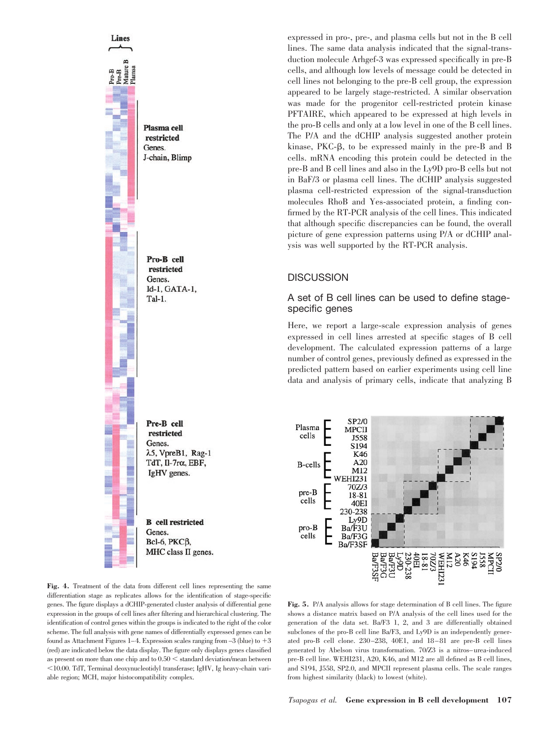

expressed in pro-, pre-, and plasma cells but not in the B cell lines. The same data analysis indicated that the signal-transduction molecule Arhgef-3 was expressed specifically in pre-B cells, and although low levels of message could be detected in cell lines not belonging to the pre-B cell group, the expression appeared to be largely stage-restricted. A similar observation was made for the progenitor cell-restricted protein kinase PFTAIRE, which appeared to be expressed at high levels in the pro-B cells and only at a low level in one of the B cell lines. The P/A and the dCHIP analysis suggested another protein kinase,  $PKC-\beta$ , to be expressed mainly in the pre-B and B cells. mRNA encoding this protein could be detected in the pre-B and B cell lines and also in the Ly9D pro-B cells but not in BaF/3 or plasma cell lines. The dCHIP analysis suggested plasma cell-restricted expression of the signal-transduction molecules RhoB and Yes-associated protein, a finding confirmed by the RT-PCR analysis of the cell lines. This indicated that although specific discrepancies can be found, the overall picture of gene expression patterns using P/A or dCHIP analysis was well supported by the RT-PCR analysis.

## **DISCUSSION**

#### A set of B cell lines can be used to define stagespecific genes

Here, we report a large-scale expression analysis of genes expressed in cell lines arrested at specific stages of B cell development. The calculated expression patterns of a large number of control genes, previously defined as expressed in the predicted pattern based on earlier experiments using cell line data and analysis of primary cells, indicate that analyzing B



**Fig. 4.** Treatment of the data from different cell lines representing the same differentiation stage as replicates allows for the identification of stage-specific genes. The figure displays a dCHIP-generated cluster analysis of differential gene expression in the groups of cell lines after filtering and hierarchical clustering. The identification of control genes within the groups is indicated to the right of the color scheme. The full analysis with gene names of differentially expressed genes can be found as Attachment Figures 1–4. Expression scales ranging from  $-3$  (blue) to  $+3$ (red) are indicated below the data display. The figure only displays genes classified as present on more than one chip and to  $0.50 <$  standard deviation/mean between 10.00. TdT, Terminal deoxynucleotidyl transferase; IgHV, Ig heavy-chain variable region; MCH, major histocompatibility complex.

**Fig. 5.** P/A analysis allows for stage determination of B cell lines. The figure shows a distance matrix based on P/A analysis of the cell lines used for the generation of the data set. Ba/F3 1, 2, and 3 are differentially obtained subclones of the pro-B cell line Ba/F3, and Ly9D is an independently generated pro-B cell clone. 230–238, 40E1, and 18–81 are pre-B cell lines generated by Abelson virus transformation. 70/Z3 is a nitros–urea-induced pre-B cell line. WEHI231, A20, K46, and M12 are all defined as B cell lines, and S194, J558, SP2.0, and MPCII represent plasma cells. The scale ranges from highest similarity (black) to lowest (white).

*Tsapogas et al.* **Gene expression in B cell development 107**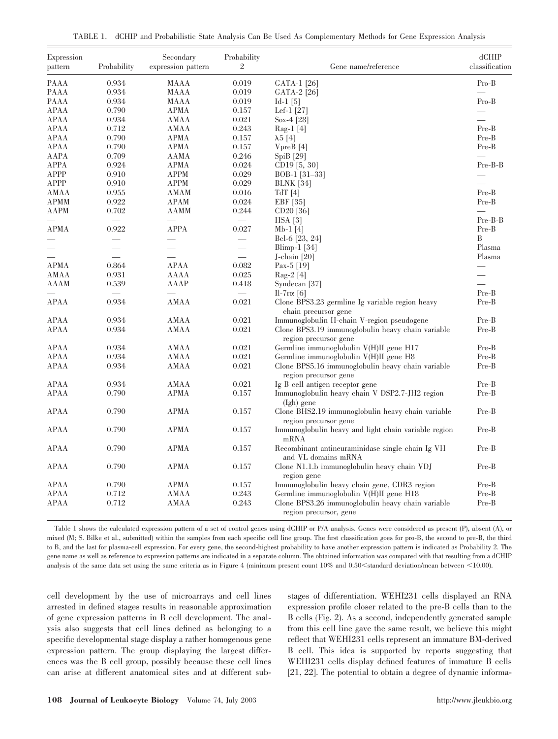| Expression<br>pattern | Probability              | Secondary<br>expression pattern | Probability<br>$\mathbf{2}$ | Gene name/reference                                                         | $d$ CHIP<br>classification |
|-----------------------|--------------------------|---------------------------------|-----------------------------|-----------------------------------------------------------------------------|----------------------------|
| <b>PAAA</b>           | 0.934                    | <b>MAAA</b>                     | 0.019                       | GATA-1 [26]                                                                 | $Pro-B$                    |
| <b>PAAA</b>           | 0.934                    | MAAA                            | 0.019                       | GATA-2 [26]                                                                 | $\overline{\phantom{0}}$   |
| <b>PAAA</b>           | 0.934                    | MAAA                            | $0.019\,$                   | $Id-1$ [5]                                                                  | $Pro-B$                    |
| <b>APAA</b>           | 0.790                    | <b>APMA</b>                     | 0.157                       | Lef-1 $[27]$                                                                |                            |
| <b>APAA</b>           | 0.934                    | AMAA                            | 0.021                       | $Sox-4$ [28]                                                                |                            |
| APAA                  | 0.712                    | AMAA                            | 0.243                       | $\text{Rag-1}$ [4]                                                          | $Pre-B$                    |
| <b>APAA</b>           | 0.790                    | APMA                            | 0.157                       | $\lambda 5$ [4]                                                             | $\rm Pre\text{-}B$         |
| APAA                  | 0.790                    | APMA                            | 0.157                       | VpreB [4]                                                                   | $Pre-B$                    |
| AAPA                  | 0.709                    | AAMA                            | 0.246                       | SpiB [29]                                                                   | $\frac{1}{1}$              |
| <b>APPA</b>           | 0.924                    | APMA                            | 0.024                       | $CD19$ [5, 30]                                                              | $Pre-B-B$                  |
| APPP                  | 0.910                    | <b>APPM</b>                     | 0.029                       | BOB-1 [31-33]                                                               |                            |
| APPP                  | 0.910                    | <b>APPM</b>                     | 0.029                       | <b>BLNK</b> [34]                                                            |                            |
| AMAA                  | 0.955                    | AMAM                            | 0.016                       | $TdT$ [4]                                                                   | $Pre-B$                    |
| <b>APMM</b>           | 0.922                    | <b>APAM</b>                     | 0.024                       | <b>EBF</b> [35]                                                             | $Pre-B$                    |
| AAPM                  | 0.702                    | AAMM                            | 0.244                       | CD <sub>20</sub> [36]                                                       | $\overline{\phantom{0}}$   |
|                       |                          |                                 |                             | $HSA$ [3]                                                                   | $Pre-B-B$                  |
| APMA                  | 0.922                    | <b>APPA</b>                     | 0.027                       | $Mb-1[4]$                                                                   | $Pre-B$                    |
|                       |                          |                                 |                             | Bcl-6 [23, 24]                                                              | B                          |
|                       | $\overline{\phantom{0}}$ |                                 | $\qquad \qquad$             | Blimp-1 $[34]$                                                              | Plasma                     |
|                       | $\qquad \qquad$          |                                 | $\qquad \qquad$             | J-chain $[20]$                                                              | Plasma                     |
| APMA                  | 0.864                    | APAA                            | 0.082                       | Pax-5 $[19]$                                                                | $\overline{\phantom{0}}$   |
| AMAA                  | 0.931                    | <b>AAAA</b>                     | 0.025                       | $\text{Rag-2}$ [4]                                                          |                            |
| <b>AAAM</b>           | 0.539                    | AAAP                            | 0.418                       | Syndecan [37]                                                               |                            |
|                       |                          | $\overline{\phantom{0}}$        |                             | Il-7 $r\alpha$ [6]                                                          | $Pre-B$                    |
| <b>APAA</b>           | 0.934                    | AMAA                            | 0.021                       | Clone BPS3.23 germline Ig variable region heavy<br>chain precursor gene     | $Pre-B$                    |
| <b>APAA</b>           | 0.934                    | <b>AMAA</b>                     | 0.021                       | Immunoglobulin H-chain V-region pseudogene                                  | $Pre-B$                    |
| APAA                  | 0.934                    | AMAA                            | 0.021                       | Clone BPS3.19 immunoglobulin heavy chain variable                           | Pre-B                      |
|                       |                          |                                 |                             | region precursor gene                                                       |                            |
| <b>APAA</b>           | 0.934                    | AMAA                            | 0.021                       | Germline immunoglobulin V(H)II gene H17                                     | $Pre-B$                    |
| <b>APAA</b>           | 0.934                    | <b>AMAA</b>                     | 0.021                       | Germline immunoglobulin V(H)II gene H8                                      | $Pre-B$                    |
| <b>APAA</b>           | 0.934                    | AMAA                            | 0.021                       | Clone BPS5.16 immunoglobulin heavy chain variable<br>region precursor gene  | $Pre-B$                    |
| <b>APAA</b>           | 0.934                    | AMAA                            | 0.021                       | Ig B cell antigen receptor gene                                             | $Pre-B$                    |
| <b>APAA</b>           | 0.790                    | <b>APMA</b>                     | 0.157                       | Immunoglobulin heavy chain V DSP2.7-JH2 region<br>(Igh) gene                | $Pre-B$                    |
| <b>APAA</b>           | 0.790                    | <b>APMA</b>                     | 0.157                       | Clone BHS2.19 immunoglobulin heavy chain variable<br>region precursor gene  | $Pre-B$                    |
| <b>APAA</b>           | 0.790                    | <b>APMA</b>                     | 0.157                       | Immunoglobulin heavy and light chain variable region<br>mRNA                | $Pre-B$                    |
| <b>APAA</b>           | 0.790                    | <b>APMA</b>                     | 0.157                       | Recombinant antineuraminidase single chain Ig VH<br>and VL domains mRNA     | $Pre-B$                    |
| <b>APAA</b>           | 0.790                    | <b>APMA</b>                     | 0.157                       | Clone N1.1.b immunoglobulin heavy chain VDJ<br>region gene                  | $Pre-B$                    |
| <b>APAA</b>           | 0.790                    | <b>APMA</b>                     | 0.157                       | Immunoglobulin heavy chain gene, CDR3 region                                | $Pre-B$                    |
| <b>APAA</b>           | 0.712                    | AMAA                            | 0.243                       | Germline immunoglobulin V(H)II gene H18                                     | $Pre-B$                    |
| <b>APAA</b>           | 0.712                    | AMAA                            | 0.243                       | Clone BPS3.26 immunoglobulin heavy chain variable<br>region precursor, gene | $Pre-B$                    |

TABLE 1. dCHIP and Probabilistic State Analysis Can Be Used As Complementary Methods for Gene Expression Analysis

Table 1 shows the calculated expression pattern of a set of control genes using dCHIP or P/A analysis. Genes were considered as present (P), absent (A), or mixed (M; S. Bilke et al., submitted) within the samples from each specific cell line group. The first classification goes for pro-B, the second to pre-B, the third to B, and the last for plasma-cell expression. For every gene, the second-highest probability to have another expression pattern is indicated as Probability 2. The gene name as well as reference to expression patterns are indicated in a separate column. The obtained information was compared with that resulting from a dCHIP analysis of the same data set using the same criteria as in Figure 4 (minimum present count  $10\%$  and  $0.50<$  standard deviation/mean between  $\leq$ 10.00).

cell development by the use of microarrays and cell lines arrested in defined stages results in reasonable approximation of gene expression patterns in B cell development. The analysis also suggests that cell lines defined as belonging to a specific developmental stage display a rather homogenous gene expression pattern. The group displaying the largest differences was the B cell group, possibly because these cell lines can arise at different anatomical sites and at different substages of differentiation. WEHI231 cells displayed an RNA expression profile closer related to the pre-B cells than to the B cells (Fig. 2). As a second, independently generated sample from this cell line gave the same result, we believe this might reflect that WEHI231 cells represent an immature BM-derived B cell. This idea is supported by reports suggesting that WEHI231 cells display defined features of immature B cells [21, 22]. The potential to obtain a degree of dynamic informa-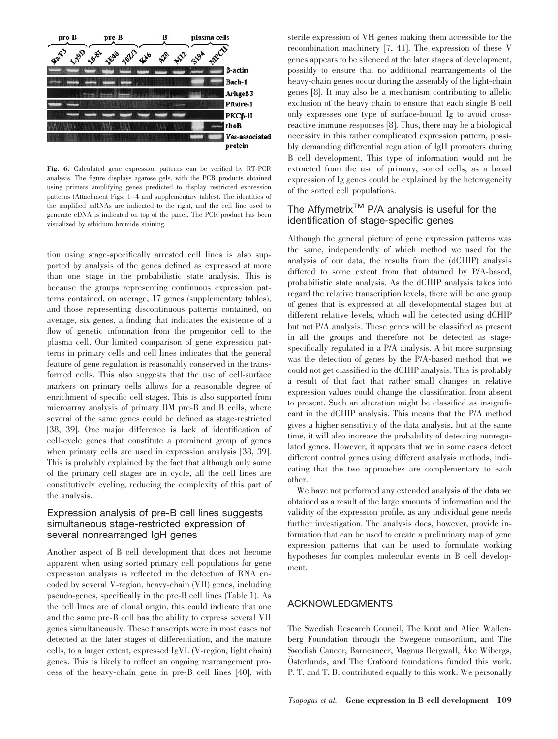

**Fig. 6.** Calculated gene expression patterns can be verified by RT-PCR analysis. The figure displays agarose gels, with the PCR products obtained using primers amplifying genes predicted to display restricted expression patterns (Attachment Figs. 1–4 and supplementary tables). The identities of the amplified mRNAs are indicated to the right, and the cell line used to generate cDNA is indicated on top of the panel. The PCR product has been visualized by ethidium bromide staining.

tion using stage-specifically arrested cell lines is also supported by analysis of the genes defined as expressed at more than one stage in the probabilistic state analysis. This is because the groups representing continuous expression patterns contained, on average, 17 genes (supplementary tables), and those representing discontinuous patterns contained, on average, six genes, a finding that indicates the existence of a flow of genetic information from the progenitor cell to the plasma cell. Our limited comparison of gene expression patterns in primary cells and cell lines indicates that the general feature of gene regulation is reasonably conserved in the transformed cells. This also suggests that the use of cell-surface markers on primary cells allows for a reasonable degree of enrichment of specific cell stages. This is also supported from microarray analysis of primary BM pre-B and B cells, where several of the same genes could be defined as stage-restricted [38, 39]. One major difference is lack of identification of cell-cycle genes that constitute a prominent group of genes when primary cells are used in expression analysis [38, 39]. This is probably explained by the fact that although only some of the primary cell stages are in cycle, all the cell lines are constitutively cycling, reducing the complexity of this part of the analysis.

## Expression analysis of pre-B cell lines suggests simultaneous stage-restricted expression of several nonrearranged IgH genes

Another aspect of B cell development that does not become apparent when using sorted primary cell populations for gene expression analysis is reflected in the detection of RNA encoded by several V-region, heavy-chain (VH) genes, including pseudo-genes, specifically in the pre-B cell lines (Table 1). As the cell lines are of clonal origin, this could indicate that one and the same pre-B cell has the ability to express several VH genes simultaneously. These transcripts were in most cases not detected at the later stages of differentiation, and the mature cells, to a larger extent, expressed IgVL (V-region, light chain) genes. This is likely to reflect an ongoing rearrangement process of the heavy-chain gene in pre-B cell lines [40], with sterile expression of VH genes making them accessible for the recombination machinery [7, 41]. The expression of these V genes appears to be silenced at the later stages of development, possibly to ensure that no additional rearrangements of the heavy-chain genes occur during the assembly of the light-chain genes [8]. It may also be a mechanism contributing to allelic exclusion of the heavy chain to ensure that each single B cell only expresses one type of surface-bound Ig to avoid crossreactive immune responses [8]. Thus, there may be a biological necessity in this rather complicated expression pattern, possibly demanding differential regulation of IgH promoters during B cell development. This type of information would not be extracted from the use of primary, sorted cells, as a broad expression of Ig genes could be explained by the heterogeneity of the sorted cell populations.

# The Affymetrix<sup>TM</sup> P/A analysis is useful for the identification of stage-specific genes

Although the general picture of gene expression patterns was the same, independently of which method we used for the analysis of our data, the results from the (dCHIP) analysis differed to some extent from that obtained by P/A-based, probabilistic state analysis. As the dCHIP analysis takes into regard the relative transcription levels, there will be one group of genes that is expressed at all developmental stages but at different relative levels, which will be detected using dCHIP but not P/A analysis. These genes will be classified as present in all the groups and therefore not be detected as stagespecifically regulated in a P/A analysis. A bit more surprising was the detection of genes by the P/A-based method that we could not get classified in the dCHIP analysis. This is probably a result of that fact that rather small changes in relative expression values could change the classification from absent to present. Such an alteration might be classified as insignificant in the dCHIP analysis. This means that the P/A method gives a higher sensitivity of the data analysis, but at the same time, it will also increase the probability of detecting nonregulated genes. However, it appears that we in some cases detect different control genes using different analysis methods, indicating that the two approaches are complementary to each other.

We have not performed any extended analysis of the data we obtained as a result of the large amounts of information and the validity of the expression profile, as any individual gene needs further investigation. The analysis does, however, provide information that can be used to create a preliminary map of gene expression patterns that can be used to formulate working hypotheses for complex molecular events in B cell development.

# ACKNOWLEDGMENTS

The Swedish Research Council, The Knut and Alice Wallenberg Foundation through the Swegene consortium, and The Swedish Cancer, Barncancer, Magnus Bergwall, Åke Wibergs, Österlunds, and The Crafoord foundations funded this work. P. T. and T. B. contributed equally to this work. We personally